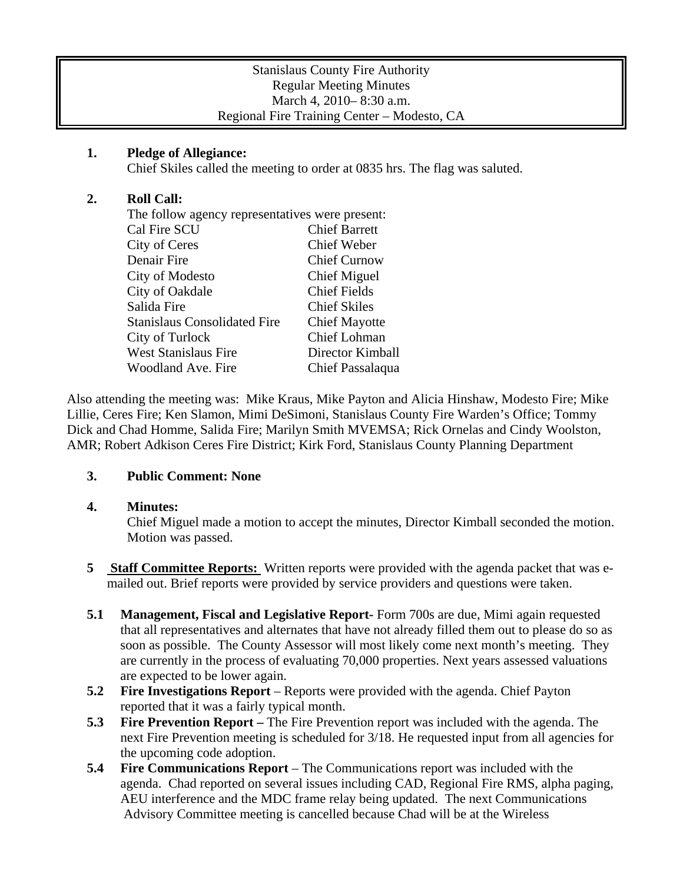## **1. Pledge of Allegiance:**

Chief Skiles called the meeting to order at 0835 hrs. The flag was saluted.

# **2. Roll Call:**

| The follow agency representatives were present: |                      |
|-------------------------------------------------|----------------------|
| Cal Fire SCU                                    | <b>Chief Barrett</b> |
| City of Ceres                                   | Chief Weber          |
| Denair Fire                                     | <b>Chief Curnow</b>  |
| City of Modesto                                 | Chief Miguel         |
| City of Oakdale                                 | <b>Chief Fields</b>  |
| Salida Fire                                     | <b>Chief Skiles</b>  |
| <b>Stanislaus Consolidated Fire</b>             | <b>Chief Mayotte</b> |
| City of Turlock                                 | Chief Lohman         |
| <b>West Stanislaus Fire</b>                     | Director Kimball     |
| <b>Woodland Ave. Fire</b>                       | Chief Passalaqua     |
|                                                 |                      |

Also attending the meeting was: Mike Kraus, Mike Payton and Alicia Hinshaw, Modesto Fire; Mike Lillie, Ceres Fire; Ken Slamon, Mimi DeSimoni, Stanislaus County Fire Warden's Office; Tommy Dick and Chad Homme, Salida Fire; Marilyn Smith MVEMSA; Rick Ornelas and Cindy Woolston, AMR; Robert Adkison Ceres Fire District; Kirk Ford, Stanislaus County Planning Department

## **3. Public Comment: None**

## **4. Minutes:**

Chief Miguel made a motion to accept the minutes, Director Kimball seconded the motion. Motion was passed.

- **5** Staff Committee Reports: Written reports were provided with the agenda packet that was emailed out. Brief reports were provided by service providers and questions were taken.
- **5.1 Management, Fiscal and Legislative Report-** Form 700s are due, Mimi again requested that all representatives and alternates that have not already filled them out to please do so as soon as possible. The County Assessor will most likely come next month's meeting. They are currently in the process of evaluating 70,000 properties. Next years assessed valuations are expected to be lower again.
- **5.2 Fire Investigations Report** Reports were provided with the agenda. Chief Payton reported that it was a fairly typical month.
- **5.3 Fire Prevention Report –** The Fire Prevention report was included with the agenda. The next Fire Prevention meeting is scheduled for  $3/18$ . He requested input from all agencies for the upcoming code adoption.
- **5.4 Fire Communications Report** The Communications report was included with the agenda. Chad reported on several issues including CAD, Regional Fire RMS, alpha paging, AEU interference and the MDC frame relay being updated. The next Communications Advisory Committee meeting is cancelled because Chad will be at the Wireless